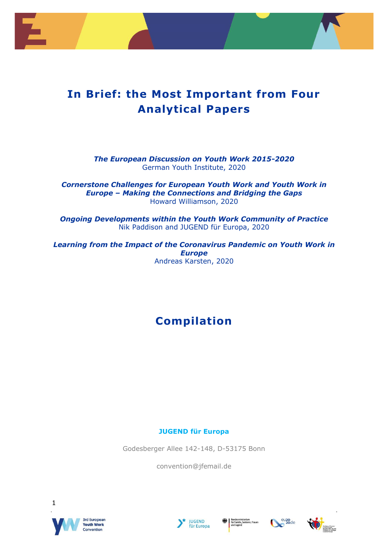### **In Brief: the Most Important from Four Analytical Papers**

*The European Discussion on Youth Work 2015-2020* German Youth Institute, 2020

*Cornerstone Challenges for European Youth Work and Youth Work in Europe – Making the Connections and Bridging the Gaps* Howard Williamson, 2020

*Ongoing Developments within the Youth Work Community of Practice* Nik Paddison and JUGEND für Europa, 2020

*Learning from the Impact of the Coronavirus Pandemic on Youth Work in Europe* Andreas Karsten, 2020

### **Compilation**

#### **JUGEND für Europa**

Godesberger Allee 142-148, D-53175 Bonn

convention@jfemail.de









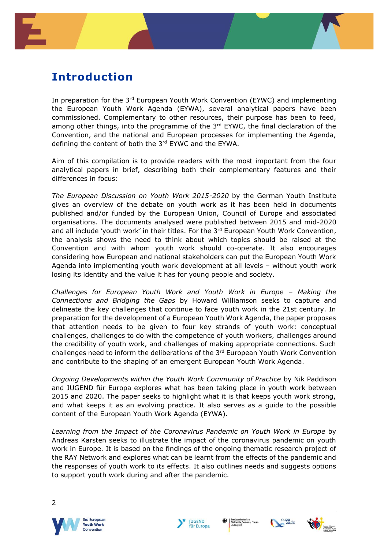### **Introduction**

In preparation for the  $3^{rd}$  European Youth Work Convention (EYWC) and implementing the European Youth Work Agenda (EYWA), several analytical papers have been commissioned. Complementary to other resources, their purpose has been to feed, among other things, into the programme of the  $3<sup>rd</sup>$  EYWC, the final declaration of the Convention, and the national and European processes for implementing the Agenda, defining the content of both the 3<sup>rd</sup> EYWC and the EYWA.

Aim of this compilation is to provide readers with the most important from the four analytical papers in brief, describing both their complementary features and their differences in focus:

*The European Discussion on Youth Work 2015-2020* by the German Youth Institute gives an overview of the debate on youth work as it has been held in documents published and/or funded by the European Union, Council of Europe and associated organisations. The documents analysed were published between 2015 and mid-2020 and all include 'youth work' in their titles. For the  $3<sup>rd</sup>$  European Youth Work Convention, the analysis shows the need to think about which topics should be raised at the Convention and with whom youth work should co-operate. It also encourages considering how European and national stakeholders can put the European Youth Work Agenda into implementing youth work development at all levels – without youth work losing its identity and the value it has for young people and society.

*Challenges for European Youth Work and Youth Work in Europe – Making the Connections and Bridging the Gaps* by Howard Williamson seeks to capture and delineate the key challenges that continue to face youth work in the 21st century. In preparation for the development of a European Youth Work Agenda, the paper proposes that attention needs to be given to four key strands of youth work: conceptual challenges, challenges to do with the competence of youth workers, challenges around the credibility of youth work, and challenges of making appropriate connections. Such challenges need to inform the deliberations of the  $3<sup>rd</sup>$  European Youth Work Convention and contribute to the shaping of an emergent European Youth Work Agenda.

*Ongoing Developments within the Youth Work Community of Practice* by Nik Paddison and JUGEND für Europa explores what has been taking place in youth work between 2015 and 2020. The paper seeks to highlight what it is that keeps youth work strong, and what keeps it as an evolving practice. It also serves as a guide to the possible content of the European Youth Work Agenda (EYWA).

*Learning from the Impact of the Coronavirus Pandemic on Youth Work in Europe* by Andreas Karsten seeks to illustrate the impact of the coronavirus pandemic on youth work in Europe. It is based on the findings of the ongoing thematic research project of the RAY Network and explores what can be learnt from the effects of the pandemic and the responses of youth work to its effects. It also outlines needs and suggests options to support youth work during and after the pandemic.









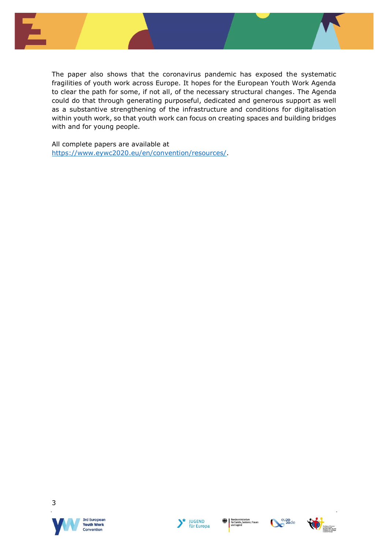

The paper also shows that the coronavirus pandemic has exposed the systematic fragilities of youth work across Europe. It hopes for the European Youth Work Agenda to clear the path for some, if not all, of the necessary structural changes. The Agenda could do that through generating purposeful, dedicated and generous support as well as a substantive strengthening of the infrastructure and conditions for digitalisation within youth work, so that youth work can focus on creating spaces and building bridges with and for young people.

All complete papers are available at [https://www.eywc2020.eu/en/convention/resources/.](https://www.eywc2020.eu/en/convention/resources/)







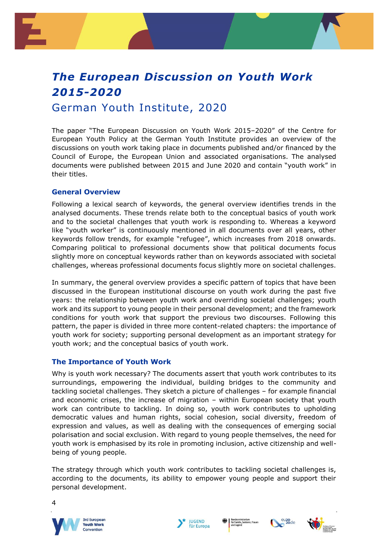# *The European Discussion on Youth Work 2015-2020*

### German Youth Institute, 2020

The paper "The European Discussion on Youth Work 2015–2020" of the Centre for European Youth Policy at the German Youth Institute provides an overview of the discussions on youth work taking place in documents published and/or financed by the Council of Europe, the European Union and associated organisations. The analysed documents were published between 2015 and June 2020 and contain "youth work" in their titles.

#### **General Overview**

Following a lexical search of keywords, the general overview identifies trends in the analysed documents. These trends relate both to the conceptual basics of youth work and to the societal challenges that youth work is responding to. Whereas a keyword like "youth worker" is continuously mentioned in all documents over all years, other keywords follow trends, for example "refugee", which increases from 2018 onwards. Comparing political to professional documents show that political documents focus slightly more on conceptual keywords rather than on keywords associated with societal challenges, whereas professional documents focus slightly more on societal challenges.

In summary, the general overview provides a specific pattern of topics that have been discussed in the European institutional discourse on youth work during the past five years: the relationship between youth work and overriding societal challenges; youth work and its support to young people in their personal development; and the framework conditions for youth work that support the previous two discourses. Following this pattern, the paper is divided in three more content-related chapters: the importance of youth work for society; supporting personal development as an important strategy for youth work; and the conceptual basics of youth work.

#### **The Importance of Youth Work**

Why is youth work necessary? The documents assert that youth work contributes to its surroundings, empowering the individual, building bridges to the community and tackling societal challenges. They sketch a picture of challenges – for example financial and economic crises, the increase of migration – within European society that youth work can contribute to tackling. In doing so, youth work contributes to upholding democratic values and human rights, social cohesion, social diversity, freedom of expression and values, as well as dealing with the consequences of emerging social polarisation and social exclusion. With regard to young people themselves, the need for youth work is emphasised by its role in promoting inclusion, active citizenship and wellbeing of young people.

The strategy through which youth work contributes to tackling societal challenges is, according to the documents, its ability to empower young people and support their personal development.









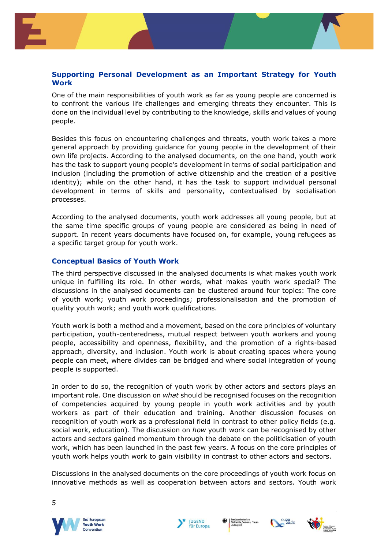#### **Supporting Personal Development as an Important Strategy for Youth Work**

One of the main responsibilities of youth work as far as young people are concerned is to confront the various life challenges and emerging threats they encounter. This is done on the individual level by contributing to the knowledge, skills and values of young people.

Besides this focus on encountering challenges and threats, youth work takes a more general approach by providing guidance for young people in the development of their own life projects. According to the analysed documents, on the one hand, youth work has the task to support young people's development in terms of social participation and inclusion (including the promotion of active citizenship and the creation of a positive identity); while on the other hand, it has the task to support individual personal development in terms of skills and personality, contextualised by socialisation processes.

According to the analysed documents, youth work addresses all young people, but at the same time specific groups of young people are considered as being in need of support. In recent years documents have focused on, for example, young refugees as a specific target group for youth work.

#### **Conceptual Basics of Youth Work**

The third perspective discussed in the analysed documents is what makes youth work unique in fulfilling its role. In other words, what makes youth work special? The discussions in the analysed documents can be clustered around four topics: The core of youth work; youth work proceedings; professionalisation and the promotion of quality youth work; and youth work qualifications.

Youth work is both a method and a movement, based on the core principles of voluntary participation, youth-centeredness, mutual respect between youth workers and young people, accessibility and openness, flexibility, and the promotion of a rights-based approach, diversity, and inclusion. Youth work is about creating spaces where young people can meet, where divides can be bridged and where social integration of young people is supported.

In order to do so, the recognition of youth work by other actors and sectors plays an important role. One discussion on *what* should be recognised focuses on the recognition of competencies acquired by young people in youth work activities and by youth workers as part of their education and training. Another discussion focuses on recognition of youth work as a professional field in contrast to other policy fields (e.g. social work, education). The discussion on *how* youth work can be recognised by other actors and sectors gained momentum through the debate on the politicisation of youth work, which has been launched in the past few years. A focus on the core principles of youth work helps youth work to gain visibility in contrast to other actors and sectors.

Discussions in the analysed documents on the core proceedings of youth work focus on innovative methods as well as cooperation between actors and sectors. Youth work

**IUGEND** 







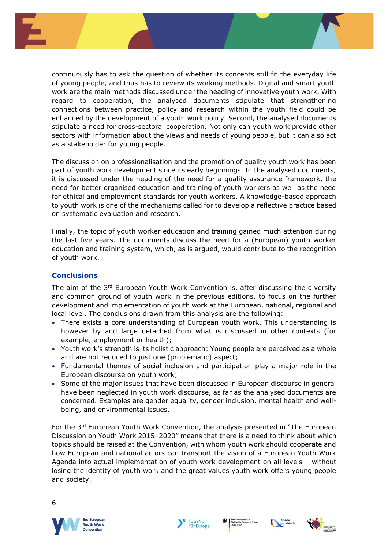

continuously has to ask the question of whether its concepts still fit the everyday life of young people, and thus has to review its working methods. Digital and smart youth work are the main methods discussed under the heading of innovative youth work. With regard to cooperation, the analysed documents stipulate that strengthening connections between practice, policy and research within the youth field could be enhanced by the development of a youth work policy. Second, the analysed documents stipulate a need for cross-sectoral cooperation. Not only can youth work provide other sectors with information about the views and needs of young people, but it can also act as a stakeholder for young people.

The discussion on professionalisation and the promotion of quality youth work has been part of youth work development since its early beginnings. In the analysed documents, it is discussed under the heading of the need for a quality assurance framework, the need for better organised education and training of youth workers as well as the need for ethical and employment standards for youth workers. A knowledge-based approach to youth work is one of the mechanisms called for to develop a reflective practice based on systematic evaluation and research.

Finally, the topic of youth worker education and training gained much attention during the last five years. The documents discuss the need for a (European) youth worker education and training system, which, as is argued, would contribute to the recognition of youth work.

#### **Conclusions**

The aim of the  $3<sup>rd</sup>$  European Youth Work Convention is, after discussing the diversity and common ground of youth work in the previous editions, to focus on the further development and implementation of youth work at the European, national, regional and local level. The conclusions drawn from this analysis are the following:

- There exists a core understanding of European youth work. This understanding is however by and large detached from what is discussed in other contexts (for example, employment or health);
- Youth work's strength is its holistic approach: Young people are perceived as a whole and are not reduced to just one (problematic) aspect;
- Fundamental themes of social inclusion and participation play a major role in the European discourse on youth work;
- Some of the major issues that have been discussed in European discourse in general have been neglected in youth work discourse, as far as the analysed documents are concerned. Examples are gender equality, gender inclusion, mental health and wellbeing, and environmental issues.

For the  $3^{rd}$  European Youth Work Convention, the analysis presented in "The European Discussion on Youth Work 2015–2020" means that there is a need to think about which topics should be raised at the Convention, with whom youth work should cooperate and how European and national actors can transport the vision of a European Youth Work Agenda into actual implementation of youth work development on all levels – without losing the identity of youth work and the great values youth work offers young people and society.











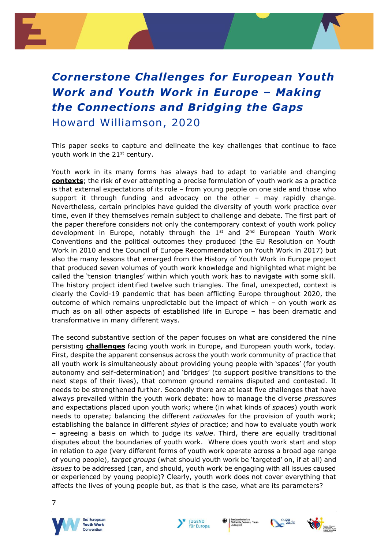## *Cornerstone Challenges for European Youth Work and Youth Work in Europe – Making the Connections and Bridging the Gaps* Howard Williamson, 2020

This paper seeks to capture and delineate the key challenges that continue to face youth work in the 21<sup>st</sup> century.

Youth work in its many forms has always had to adapt to variable and changing **contexts**; the risk of ever attempting a precise formulation of youth work as a practice is that external expectations of its role – from young people on one side and those who support it through funding and advocacy on the other – may rapidly change. Nevertheless, certain principles have guided the diversity of youth work practice over time, even if they themselves remain subject to challenge and debate. The first part of the paper therefore considers not only the contemporary context of youth work policy development in Europe, notably through the  $1<sup>st</sup>$  and  $2<sup>nd</sup>$  European Youth Work Conventions and the political outcomes they produced (the EU Resolution on Youth Work in 2010 and the Council of Europe Recommendation on Youth Work in 2017) but also the many lessons that emerged from the History of Youth Work in Europe project that produced seven volumes of youth work knowledge and highlighted what might be called the 'tension triangles' within which youth work has to navigate with some skill. The history project identified twelve such triangles. The final, unexpected, context is clearly the Covid-19 pandemic that has been afflicting Europe throughout 2020, the outcome of which remains unpredictable but the impact of which – on youth work as much as on all other aspects of established life in Europe – has been dramatic and transformative in many different ways.

The second substantive section of the paper focuses on what are considered the nine persisting **challenges** facing youth work in Europe, and European youth work, today. First, despite the apparent consensus across the youth work community of practice that all youth work is simultaneously about providing young people with 'spaces' (for youth autonomy and self-determination) and 'bridges' (to support positive transitions to the next steps of their lives), that common ground remains disputed and contested. It needs to be strengthened further. Secondly there are at least five challenges that have always prevailed within the youth work debate: how to manage the diverse *pressures* and expectations placed upon youth work; where (in what kinds of *spaces*) youth work needs to operate; balancing the different *rationales* for the provision of youth work; establishing the balance in different *styles* of practice; and how to evaluate youth work – agreeing a basis on which to judge its *value*. Third, there are equally traditional disputes about the boundaries of youth work. Where does youth work start and stop in relation to *age* (very different forms of youth work operate across a broad age range of young people), *target groups* (what should youth work be 'targeted' on, if at all) and *issues* to be addressed (can, and should, youth work be engaging with all issues caused or experienced by young people)? Clearly, youth work does not cover everything that affects the lives of young people but, as that is the case, what are its parameters?











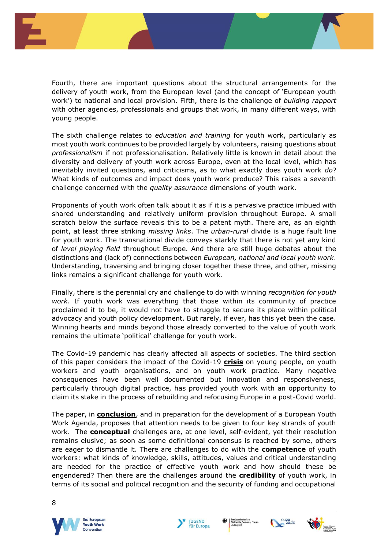

Fourth, there are important questions about the structural arrangements for the delivery of youth work, from the European level (and the concept of 'European youth work') to national and local provision. Fifth, there is the challenge of *building rapport* with other agencies, professionals and groups that work, in many different ways, with young people.

The sixth challenge relates to *education and training* for youth work, particularly as most youth work continues to be provided largely by volunteers, raising questions about *professionalism* if not professionalisation. Relatively little is known in detail about the diversity and delivery of youth work across Europe, even at the local level, which has inevitably invited questions, and criticisms, as to what exactly does youth work *do*? What kinds of outcomes and impact does youth work produce? This raises a seventh challenge concerned with the *quality assurance* dimensions of youth work.

Proponents of youth work often talk about it as if it is a pervasive practice imbued with shared understanding and relatively uniform provision throughout Europe. A small scratch below the surface reveals this to be a patent myth. There are, as an eighth point, at least three striking *missing links*. The *urban-rural* divide is a huge fault line for youth work. The transnational divide conveys starkly that there is not yet any kind of *level playing field* throughout Europe. And there are still huge debates about the distinctions and (lack of) connections between *European, national and local youth work*. Understanding, traversing and bringing closer together these three, and other, missing links remains a significant challenge for youth work.

Finally, there is the perennial cry and challenge to do with winning *recognition for youth work*. If youth work was everything that those within its community of practice proclaimed it to be, it would not have to struggle to secure its place within political advocacy and youth policy development. But rarely, if ever, has this yet been the case. Winning hearts and minds beyond those already converted to the value of youth work remains the ultimate 'political' challenge for youth work.

The Covid-19 pandemic has clearly affected all aspects of societies. The third section of this paper considers the impact of the Covid-19 **crisis** on young people, on youth workers and youth organisations, and on youth work practice. Many negative consequences have been well documented but innovation and responsiveness, particularly through digital practice, has provided youth work with an opportunity to claim its stake in the process of rebuilding and refocusing Europe in a post-Covid world.

The paper, in **conclusion**, and in preparation for the development of a European Youth Work Agenda, proposes that attention needs to be given to four key strands of youth work. The **conceptual** challenges are, at one level, self-evident, yet their resolution remains elusive; as soon as some definitional consensus is reached by some, others are eager to dismantle it. There are challenges to do with the **competence** of youth workers: what kinds of knowledge, skills, attitudes, values and critical understanding are needed for the practice of effective youth work and how should these be engendered? Then there are the challenges around the **credibility** of youth work, in terms of its social and political recognition and the security of funding and occupational











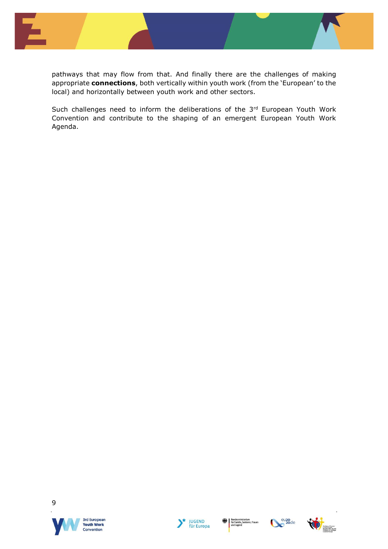

pathways that may flow from that. And finally there are the challenges of making appropriate **connections**, both vertically within youth work (from the 'European' to the local) and horizontally between youth work and other sectors.

Such challenges need to inform the deliberations of the 3rd European Youth Work Convention and contribute to the shaping of an emergent European Youth Work Agenda.





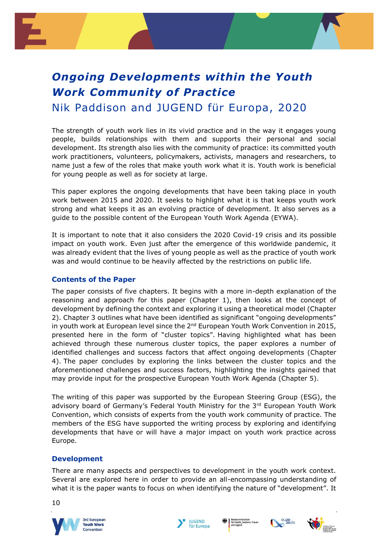## *Ongoing Developments within the Youth Work Community of Practice* Nik Paddison and JUGEND für Europa, 2020

The strength of youth work lies in its vivid practice and in the way it engages young people, builds relationships with them and supports their personal and social development. Its strength also lies with the community of practice: its committed youth work practitioners, volunteers, policymakers, activists, managers and researchers, to name just a few of the roles that make youth work what it is. Youth work is beneficial for young people as well as for society at large.

This paper explores the ongoing developments that have been taking place in youth work between 2015 and 2020. It seeks to highlight what it is that keeps youth work strong and what keeps it as an evolving practice of development. It also serves as a guide to the possible content of the European Youth Work Agenda (EYWA).

It is important to note that it also considers the 2020 Covid-19 crisis and its possible impact on youth work. Even just after the emergence of this worldwide pandemic, it was already evident that the lives of young people as well as the practice of youth work was and would continue to be heavily affected by the restrictions on public life.

#### **Contents of the Paper**

The paper consists of five chapters. It begins with a more in-depth explanation of the reasoning and approach for this paper (Chapter 1), then looks at the concept of development by defining the context and exploring it using a theoretical model (Chapter 2). Chapter 3 outlines what have been identified as significant "ongoing developments" in youth work at European level since the  $2^{nd}$  European Youth Work Convention in 2015, presented here in the form of "cluster topics". Having highlighted what has been achieved through these numerous cluster topics, the paper explores a number of identified challenges and success factors that affect ongoing developments (Chapter 4). The paper concludes by exploring the links between the cluster topics and the aforementioned challenges and success factors, highlighting the insights gained that may provide input for the prospective European Youth Work Agenda (Chapter 5).

The writing of this paper was supported by the European Steering Group (ESG), the advisory board of Germany's Federal Youth Ministry for the 3<sup>rd</sup> European Youth Work Convention, which consists of experts from the youth work community of practice. The members of the ESG have supported the writing process by exploring and identifying developments that have or will have a major impact on youth work practice across Europe.

#### **Development**

There are many aspects and perspectives to development in the youth work context. Several are explored here in order to provide an all-encompassing understanding of what it is the paper wants to focus on when identifying the nature of "development". It









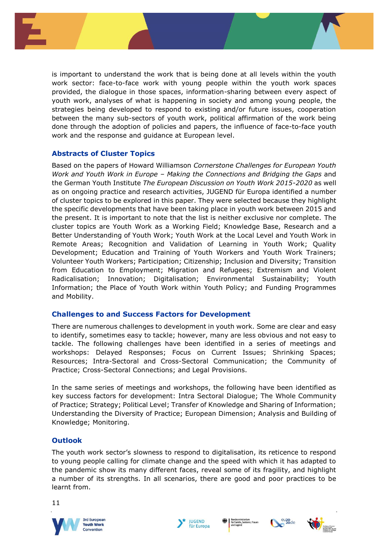

is important to understand the work that is being done at all levels within the youth work sector: face-to-face work with young people within the youth work spaces provided, the dialogue in those spaces, information-sharing between every aspect of youth work, analyses of what is happening in society and among young people, the strategies being developed to respond to existing and/or future issues, cooperation between the many sub-sectors of youth work, political affirmation of the work being done through the adoption of policies and papers, the influence of face-to-face youth work and the response and guidance at European level.

#### **Abstracts of Cluster Topics**

Based on the papers of Howard Williamson *Cornerstone Challenges for European Youth Work and Youth Work in Europe – Making the Connections and Bridging the Gaps* and the German Youth Institute *The European Discussion on Youth Work 2015-2020* as well as on ongoing practice and research activities, JUGEND für Europa identified a number of cluster topics to be explored in this paper. They were selected because they highlight the specific developments that have been taking place in youth work between 2015 and the present. It is important to note that the list is neither exclusive nor complete. The cluster topics are Youth Work as a Working Field; Knowledge Base, Research and a Better Understanding of Youth Work; Youth Work at the Local Level and Youth Work in Remote Areas; Recognition and Validation of Learning in Youth Work; Quality Development; Education and Training of Youth Workers and Youth Work Trainers; Volunteer Youth Workers; Participation; Citizenship; Inclusion and Diversity; Transition from Education to Employment; Migration and Refugees; Extremism and Violent Radicalisation; Innovation; Digitalisation; Environmental Sustainability; Youth Information; the Place of Youth Work within Youth Policy; and Funding Programmes and Mobility.

#### **Challenges to and Success Factors for Development**

There are numerous challenges to development in youth work. Some are clear and easy to identify, sometimes easy to tackle; however, many are less obvious and not easy to tackle. The following challenges have been identified in a series of meetings and workshops: Delayed Responses; Focus on Current Issues; Shrinking Spaces; Resources; Intra-Sectoral and Cross-Sectoral Communication; the Community of Practice; Cross-Sectoral Connections; and Legal Provisions.

In the same series of meetings and workshops, the following have been identified as key success factors for development: Intra Sectoral Dialogue; The Whole Community of Practice; Strategy; Political Level; Transfer of Knowledge and Sharing of Information; Understanding the Diversity of Practice; European Dimension; Analysis and Building of Knowledge; Monitoring.

#### **Outlook**

The youth work sector's slowness to respond to digitalisation, its reticence to respond to young people calling for climate change and the speed with which it has adapted to the pandemic show its many different faces, reveal some of its fragility, and highlight a number of its strengths. In all scenarios, there are good and poor practices to be learnt from.









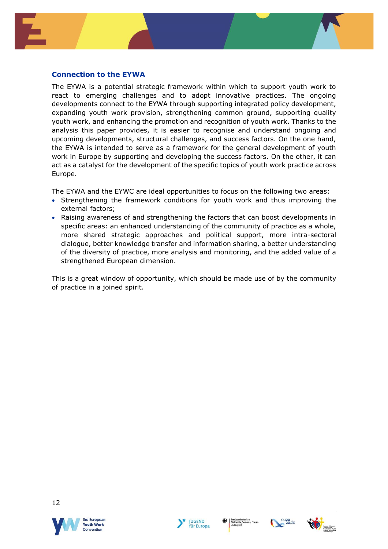#### **Connection to the EYWA**

The EYWA is a potential strategic framework within which to support youth work to react to emerging challenges and to adopt innovative practices. The ongoing developments connect to the EYWA through supporting integrated policy development, expanding youth work provision, strengthening common ground, supporting quality youth work, and enhancing the promotion and recognition of youth work. Thanks to the analysis this paper provides, it is easier to recognise and understand ongoing and upcoming developments, structural challenges, and success factors. On the one hand, the EYWA is intended to serve as a framework for the general development of youth work in Europe by supporting and developing the success factors. On the other, it can act as a catalyst for the development of the specific topics of youth work practice across Europe.

The EYWA and the EYWC are ideal opportunities to focus on the following two areas:

- Strengthening the framework conditions for youth work and thus improving the external factors;
- Raising awareness of and strengthening the factors that can boost developments in specific areas: an enhanced understanding of the community of practice as a whole, more shared strategic approaches and political support, more intra-sectoral dialogue, better knowledge transfer and information sharing, a better understanding of the diversity of practice, more analysis and monitoring, and the added value of a strengthened European dimension.

This is a great window of opportunity, which should be made use of by the community of practice in a joined spirit.







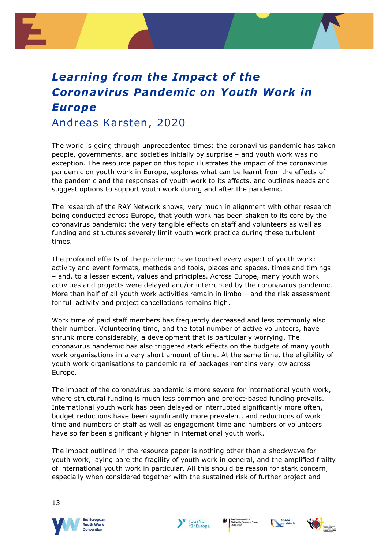### *Learning from the Impact of the Coronavirus Pandemic on Youth Work in Europe* Andreas Karsten, 2020

The world is going through unprecedented times: the coronavirus pandemic has taken people, governments, and societies initially by surprise – and youth work was no exception. The resource paper on this topic illustrates the impact of the coronavirus pandemic on youth work in Europe, explores what can be learnt from the effects of the pandemic and the responses of youth work to its effects, and outlines needs and suggest options to support youth work during and after the pandemic.

The research of the RAY Network shows, very much in alignment with other research being conducted across Europe, that youth work has been shaken to its core by the coronavirus pandemic: the very tangible effects on staff and volunteers as well as funding and structures severely limit youth work practice during these turbulent times.

The profound effects of the pandemic have touched every aspect of youth work: activity and event formats, methods and tools, places and spaces, times and timings – and, to a lesser extent, values and principles. Across Europe, many youth work activities and projects were delayed and/or interrupted by the coronavirus pandemic. More than half of all youth work activities remain in limbo – and the risk assessment for full activity and project cancellations remains high.

Work time of paid staff members has frequently decreased and less commonly also their number. Volunteering time, and the total number of active volunteers, have shrunk more considerably, a development that is particularly worrying. The coronavirus pandemic has also triggered stark effects on the budgets of many youth work organisations in a very short amount of time. At the same time, the eligibility of youth work organisations to pandemic relief packages remains very low across Europe.

The impact of the coronavirus pandemic is more severe for international youth work, where structural funding is much less common and project-based funding prevails. International youth work has been delayed or interrupted significantly more often, budget reductions have been significantly more prevalent, and reductions of work time and numbers of staff as well as engagement time and numbers of volunteers have so far been significantly higher in international youth work.

The impact outlined in the resource paper is nothing other than a shockwave for youth work, laying bare the fragility of youth work in general, and the amplified frailty of international youth work in particular. All this should be reason for stark concern, especially when considered together with the sustained risk of further project and